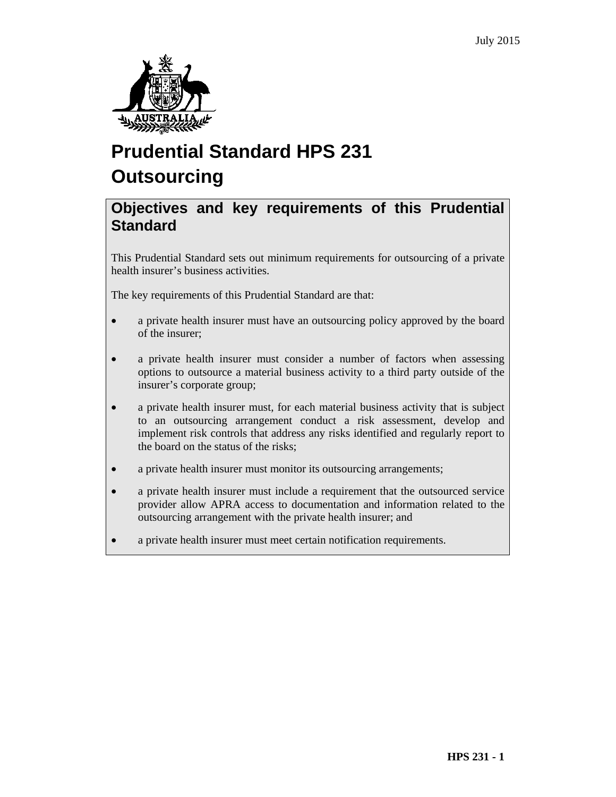

# **Prudential Standard HPS 231 Outsourcing**

# **Objectives and key requirements of this Prudential Standard**

This Prudential Standard sets out minimum requirements for outsourcing of a private health insurer's business activities.

The key requirements of this Prudential Standard are that:

- a private health insurer must have an outsourcing policy approved by the board of the insurer;
- a private health insurer must consider a number of factors when assessing options to outsource a material business activity to a third party outside of the insurer's corporate group;
- a private health insurer must, for each material business activity that is subject to an outsourcing arrangement conduct a risk assessment, develop and implement risk controls that address any risks identified and regularly report to the board on the status of the risks;
- a private health insurer must monitor its outsourcing arrangements;
- a private health insurer must include a requirement that the outsourced service provider allow APRA access to documentation and information related to the outsourcing arrangement with the private health insurer; and
- a private health insurer must meet certain notification requirements.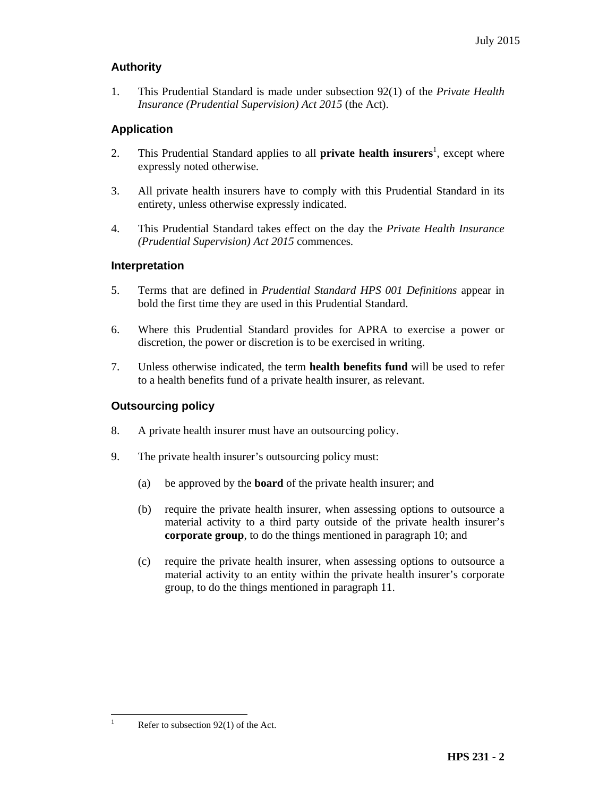# **Authority**

1. This Prudential Standard is made under subsection 92(1) of the *Private Health Insurance (Prudential Supervision) Act 2015* (the Act).

# **Application**

- 2. This Prudential Standard applies to all **private health insurers**<sup>1</sup>, except where expressly noted otherwise.
- 3. All private health insurers have to comply with this Prudential Standard in its entirety, unless otherwise expressly indicated.
- 4. This Prudential Standard takes effect on the day the *Private Health Insurance (Prudential Supervision) Act 2015* commences.

#### **Interpretation**

- 5. Terms that are defined in *Prudential Standard HPS 001 Definitions* appear in bold the first time they are used in this Prudential Standard.
- 6. Where this Prudential Standard provides for APRA to exercise a power or discretion, the power or discretion is to be exercised in writing.
- 7. Unless otherwise indicated, the term **health benefits fund** will be used to refer to a health benefits fund of a private health insurer, as relevant.

### **Outsourcing policy**

- 8. A private health insurer must have an outsourcing policy.
- 9. The private health insurer's outsourcing policy must:
	- (a) be approved by the **board** of the private health insurer; and
	- (b) require the private health insurer, when assessing options to outsource a material activity to a third party outside of the private health insurer's **corporate group**, to do the things mentioned in paragraph 10; and
	- (c) require the private health insurer, when assessing options to outsource a material activity to an entity within the private health insurer's corporate group, to do the things mentioned in paragraph 11.

 $\mathbf{1}$ 

Refer to subsection  $92(1)$  of the Act.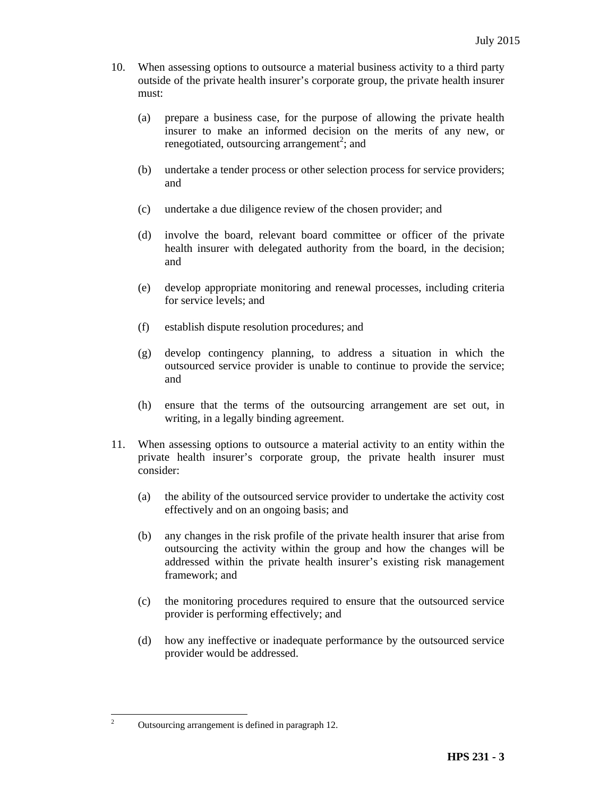- 10. When assessing options to outsource a material business activity to a third party outside of the private health insurer's corporate group, the private health insurer must:
	- (a) prepare a business case, for the purpose of allowing the private health insurer to make an informed decision on the merits of any new, or renegotiated, outsourcing arrangement<sup>2</sup>; and
	- (b) undertake a tender process or other selection process for service providers; and
	- (c) undertake a due diligence review of the chosen provider; and
	- (d) involve the board, relevant board committee or officer of the private health insurer with delegated authority from the board, in the decision; and
	- (e) develop appropriate monitoring and renewal processes, including criteria for service levels; and
	- (f) establish dispute resolution procedures; and
	- (g) develop contingency planning, to address a situation in which the outsourced service provider is unable to continue to provide the service; and
	- (h) ensure that the terms of the outsourcing arrangement are set out, in writing, in a legally binding agreement.
- 11. When assessing options to outsource a material activity to an entity within the private health insurer's corporate group, the private health insurer must consider:
	- (a) the ability of the outsourced service provider to undertake the activity cost effectively and on an ongoing basis; and
	- (b) any changes in the risk profile of the private health insurer that arise from outsourcing the activity within the group and how the changes will be addressed within the private health insurer's existing risk management framework; and
	- (c) the monitoring procedures required to ensure that the outsourced service provider is performing effectively; and
	- (d) how any ineffective or inadequate performance by the outsourced service provider would be addressed.

 $\frac{1}{2}$ 

Outsourcing arrangement is defined in paragraph 12.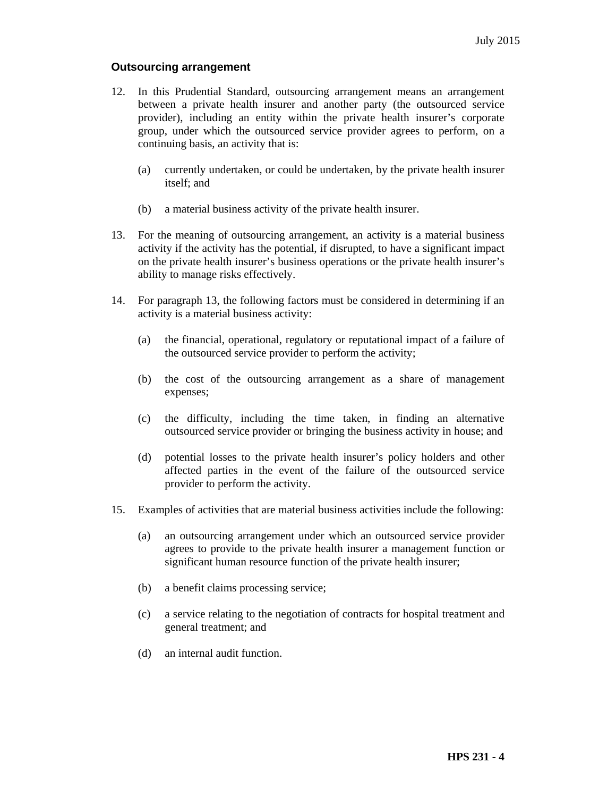#### **Outsourcing arrangement**

- 12. In this Prudential Standard, outsourcing arrangement means an arrangement between a private health insurer and another party (the outsourced service provider), including an entity within the private health insurer's corporate group, under which the outsourced service provider agrees to perform, on a continuing basis, an activity that is:
	- (a) currently undertaken, or could be undertaken, by the private health insurer itself; and
	- (b) a material business activity of the private health insurer.
- 13. For the meaning of outsourcing arrangement, an activity is a material business activity if the activity has the potential, if disrupted, to have a significant impact on the private health insurer's business operations or the private health insurer's ability to manage risks effectively.
- 14. For paragraph 13, the following factors must be considered in determining if an activity is a material business activity:
	- (a) the financial, operational, regulatory or reputational impact of a failure of the outsourced service provider to perform the activity;
	- (b) the cost of the outsourcing arrangement as a share of management expenses;
	- (c) the difficulty, including the time taken, in finding an alternative outsourced service provider or bringing the business activity in house; and
	- (d) potential losses to the private health insurer's policy holders and other affected parties in the event of the failure of the outsourced service provider to perform the activity.
- 15. Examples of activities that are material business activities include the following:
	- (a) an outsourcing arrangement under which an outsourced service provider agrees to provide to the private health insurer a management function or significant human resource function of the private health insurer;
	- (b) a benefit claims processing service;
	- (c) a service relating to the negotiation of contracts for hospital treatment and general treatment; and
	- (d) an internal audit function.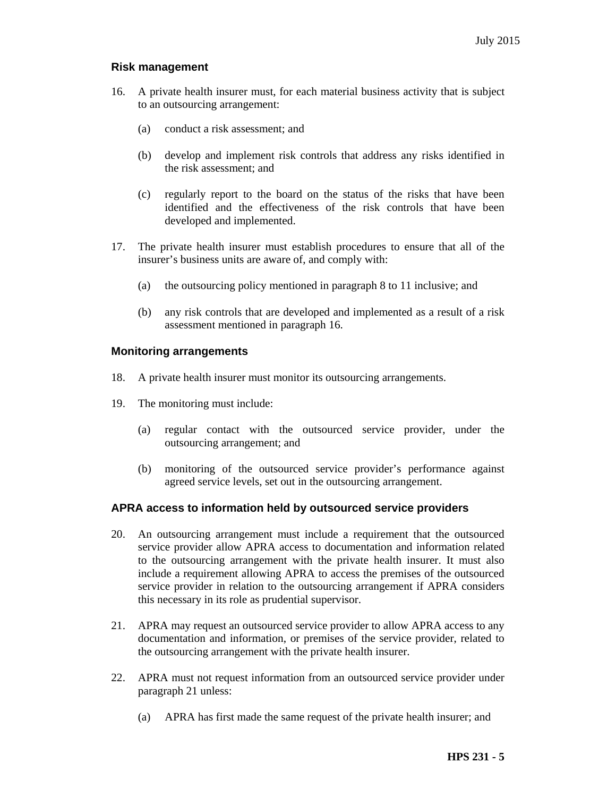### **Risk management**

- 16. A private health insurer must, for each material business activity that is subject to an outsourcing arrangement:
	- (a) conduct a risk assessment; and
	- (b) develop and implement risk controls that address any risks identified in the risk assessment; and
	- (c) regularly report to the board on the status of the risks that have been identified and the effectiveness of the risk controls that have been developed and implemented.
- 17. The private health insurer must establish procedures to ensure that all of the insurer's business units are aware of, and comply with:
	- (a) the outsourcing policy mentioned in paragraph 8 to 11 inclusive; and
	- (b) any risk controls that are developed and implemented as a result of a risk assessment mentioned in paragraph 16.

#### **Monitoring arrangements**

- 18. A private health insurer must monitor its outsourcing arrangements.
- 19. The monitoring must include:
	- (a) regular contact with the outsourced service provider, under the outsourcing arrangement; and
	- (b) monitoring of the outsourced service provider's performance against agreed service levels, set out in the outsourcing arrangement.

#### **APRA access to information held by outsourced service providers**

- 20. An outsourcing arrangement must include a requirement that the outsourced service provider allow APRA access to documentation and information related to the outsourcing arrangement with the private health insurer. It must also include a requirement allowing APRA to access the premises of the outsourced service provider in relation to the outsourcing arrangement if APRA considers this necessary in its role as prudential supervisor.
- 21. APRA may request an outsourced service provider to allow APRA access to any documentation and information, or premises of the service provider, related to the outsourcing arrangement with the private health insurer.
- 22. APRA must not request information from an outsourced service provider under paragraph 21 unless:
	- (a) APRA has first made the same request of the private health insurer; and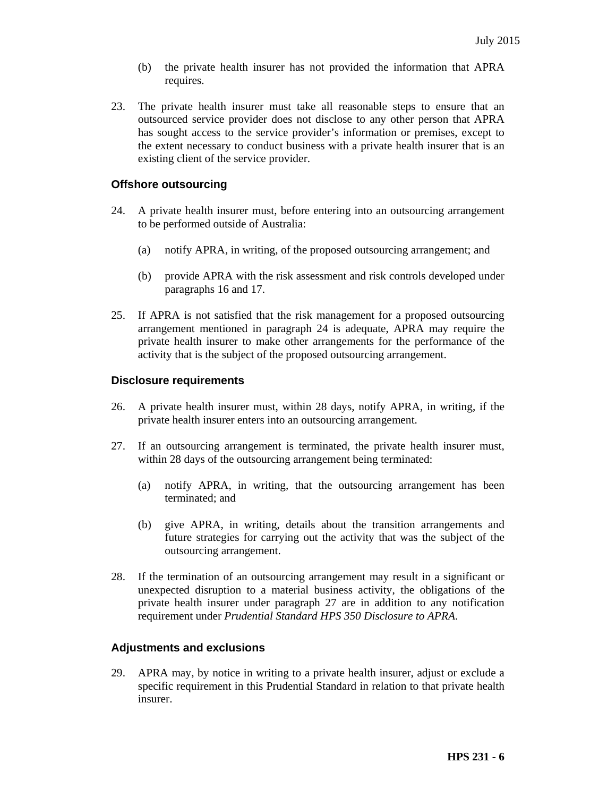- (b) the private health insurer has not provided the information that APRA requires.
- 23. The private health insurer must take all reasonable steps to ensure that an outsourced service provider does not disclose to any other person that APRA has sought access to the service provider's information or premises, except to the extent necessary to conduct business with a private health insurer that is an existing client of the service provider.

#### **Offshore outsourcing**

- 24. A private health insurer must, before entering into an outsourcing arrangement to be performed outside of Australia:
	- (a) notify APRA, in writing, of the proposed outsourcing arrangement; and
	- (b) provide APRA with the risk assessment and risk controls developed under paragraphs 16 and 17.
- 25. If APRA is not satisfied that the risk management for a proposed outsourcing arrangement mentioned in paragraph 24 is adequate, APRA may require the private health insurer to make other arrangements for the performance of the activity that is the subject of the proposed outsourcing arrangement.

#### **Disclosure requirements**

- 26. A private health insurer must, within 28 days, notify APRA, in writing, if the private health insurer enters into an outsourcing arrangement.
- 27. If an outsourcing arrangement is terminated, the private health insurer must, within 28 days of the outsourcing arrangement being terminated:
	- (a) notify APRA, in writing, that the outsourcing arrangement has been terminated; and
	- (b) give APRA, in writing, details about the transition arrangements and future strategies for carrying out the activity that was the subject of the outsourcing arrangement.
- 28. If the termination of an outsourcing arrangement may result in a significant or unexpected disruption to a material business activity, the obligations of the private health insurer under paragraph 27 are in addition to any notification requirement under *Prudential Standard HPS 350 Disclosure to APRA*.

#### **Adjustments and exclusions**

29. APRA may, by notice in writing to a private health insurer, adjust or exclude a specific requirement in this Prudential Standard in relation to that private health insurer.